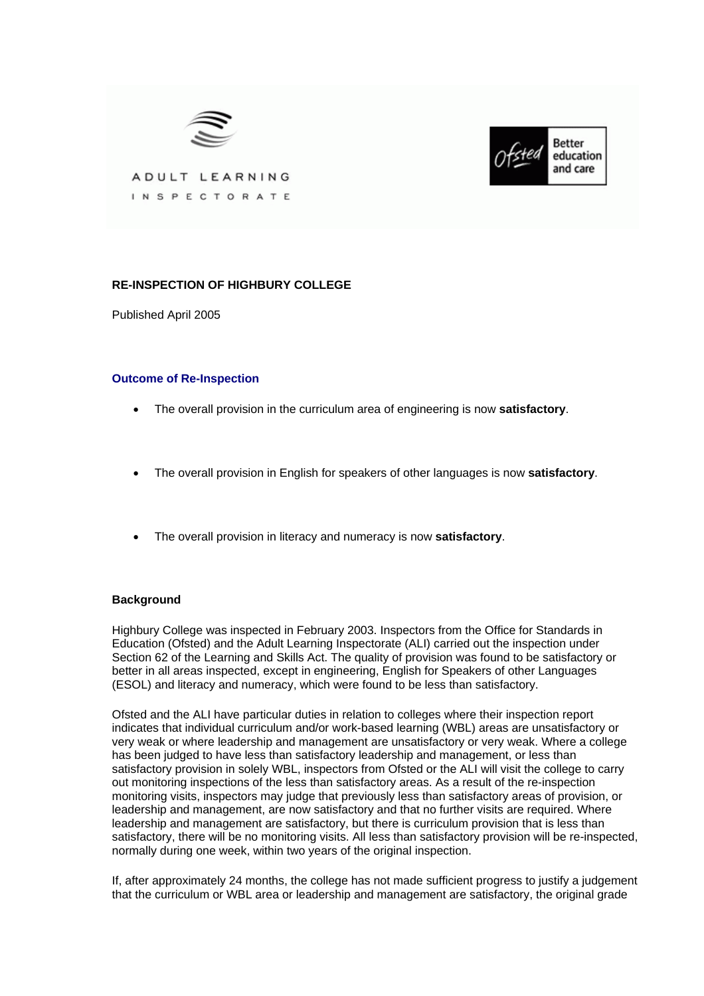



ADULT LEARNING INSPECTORATE

# **RE-INSPECTION OF HIGHBURY COLLEGE**

Published April 2005

## **Outcome of Re-Inspection**

- The overall provision in the curriculum area of engineering is now **satisfactory**.
- The overall provision in English for speakers of other languages is now **satisfactory**.
- The overall provision in literacy and numeracy is now **satisfactory**.

## **Background**

Highbury College was inspected in February 2003. Inspectors from the Office for Standards in Education (Ofsted) and the Adult Learning Inspectorate (ALI) carried out the inspection under Section 62 of the Learning and Skills Act. The quality of provision was found to be satisfactory or better in all areas inspected, except in engineering, English for Speakers of other Languages (ESOL) and literacy and numeracy, which were found to be less than satisfactory.

Ofsted and the ALI have particular duties in relation to colleges where their inspection report indicates that individual curriculum and/or work-based learning (WBL) areas are unsatisfactory or very weak or where leadership and management are unsatisfactory or very weak. Where a college has been judged to have less than satisfactory leadership and management, or less than satisfactory provision in solely WBL, inspectors from Ofsted or the ALI will visit the college to carry out monitoring inspections of the less than satisfactory areas. As a result of the re-inspection monitoring visits, inspectors may judge that previously less than satisfactory areas of provision, or leadership and management, are now satisfactory and that no further visits are required. Where leadership and management are satisfactory, but there is curriculum provision that is less than satisfactory, there will be no monitoring visits. All less than satisfactory provision will be re-inspected, normally during one week, within two years of the original inspection.

If, after approximately 24 months, the college has not made sufficient progress to justify a judgement that the curriculum or WBL area or leadership and management are satisfactory, the original grade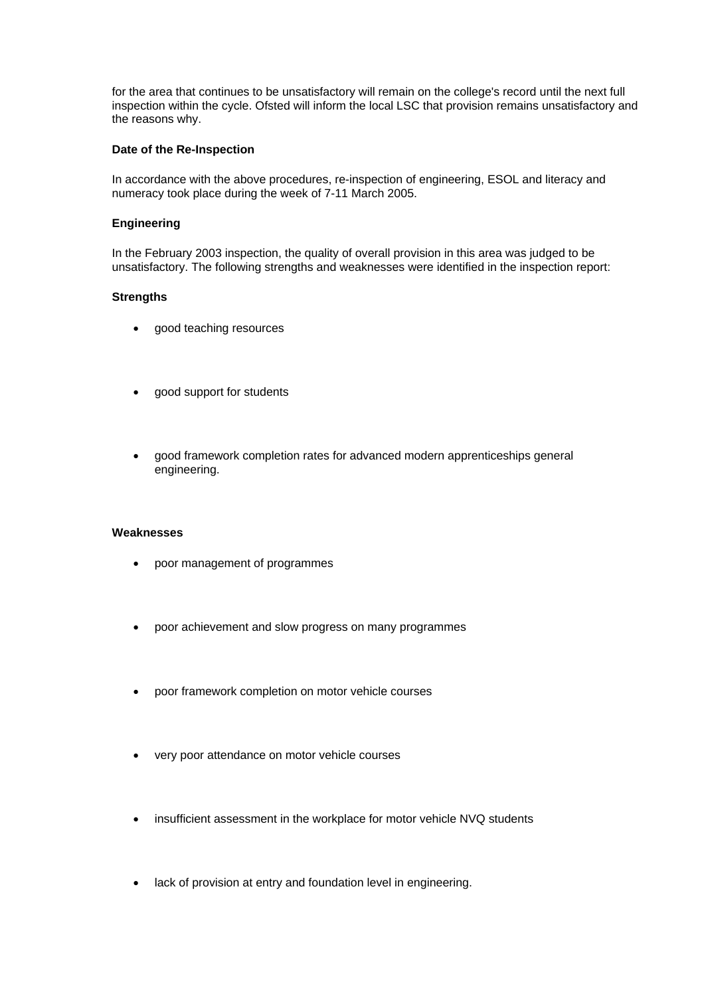for the area that continues to be unsatisfactory will remain on the college's record until the next full inspection within the cycle. Ofsted will inform the local LSC that provision remains unsatisfactory and the reasons why.

#### **Date of the Re-Inspection**

In accordance with the above procedures, re-inspection of engineering, ESOL and literacy and numeracy took place during the week of 7-11 March 2005.

### **Engineering**

In the February 2003 inspection, the quality of overall provision in this area was judged to be unsatisfactory. The following strengths and weaknesses were identified in the inspection report:

### **Strengths**

- good teaching resources
- good support for students
- good framework completion rates for advanced modern apprenticeships general engineering.

### **Weaknesses**

- poor management of programmes
- poor achievement and slow progress on many programmes
- poor framework completion on motor vehicle courses
- very poor attendance on motor vehicle courses
- insufficient assessment in the workplace for motor vehicle NVQ students
- lack of provision at entry and foundation level in engineering.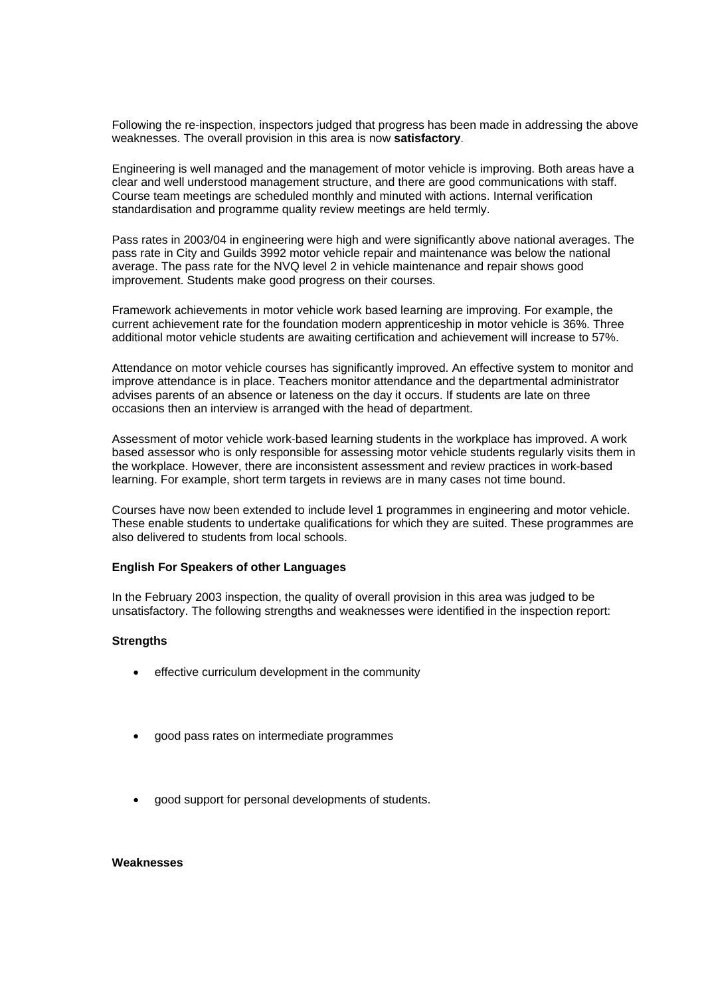Following the re-inspection, inspectors judged that progress has been made in addressing the above weaknesses. The overall provision in this area is now **satisfactory**.

Engineering is well managed and the management of motor vehicle is improving. Both areas have a clear and well understood management structure, and there are good communications with staff. Course team meetings are scheduled monthly and minuted with actions. Internal verification standardisation and programme quality review meetings are held termly.

Pass rates in 2003/04 in engineering were high and were significantly above national averages. The pass rate in City and Guilds 3992 motor vehicle repair and maintenance was below the national average. The pass rate for the NVQ level 2 in vehicle maintenance and repair shows good improvement. Students make good progress on their courses.

Framework achievements in motor vehicle work based learning are improving. For example, the current achievement rate for the foundation modern apprenticeship in motor vehicle is 36%. Three additional motor vehicle students are awaiting certification and achievement will increase to 57%.

Attendance on motor vehicle courses has significantly improved. An effective system to monitor and improve attendance is in place. Teachers monitor attendance and the departmental administrator advises parents of an absence or lateness on the day it occurs. If students are late on three occasions then an interview is arranged with the head of department.

Assessment of motor vehicle work-based learning students in the workplace has improved. A work based assessor who is only responsible for assessing motor vehicle students regularly visits them in the workplace. However, there are inconsistent assessment and review practices in work-based learning. For example, short term targets in reviews are in many cases not time bound.

Courses have now been extended to include level 1 programmes in engineering and motor vehicle. These enable students to undertake qualifications for which they are suited. These programmes are also delivered to students from local schools.

#### **English For Speakers of other Languages**

In the February 2003 inspection, the quality of overall provision in this area was judged to be unsatisfactory. The following strengths and weaknesses were identified in the inspection report:

## **Strengths**

- effective curriculum development in the community
- good pass rates on intermediate programmes
- good support for personal developments of students.

#### **Weaknesses**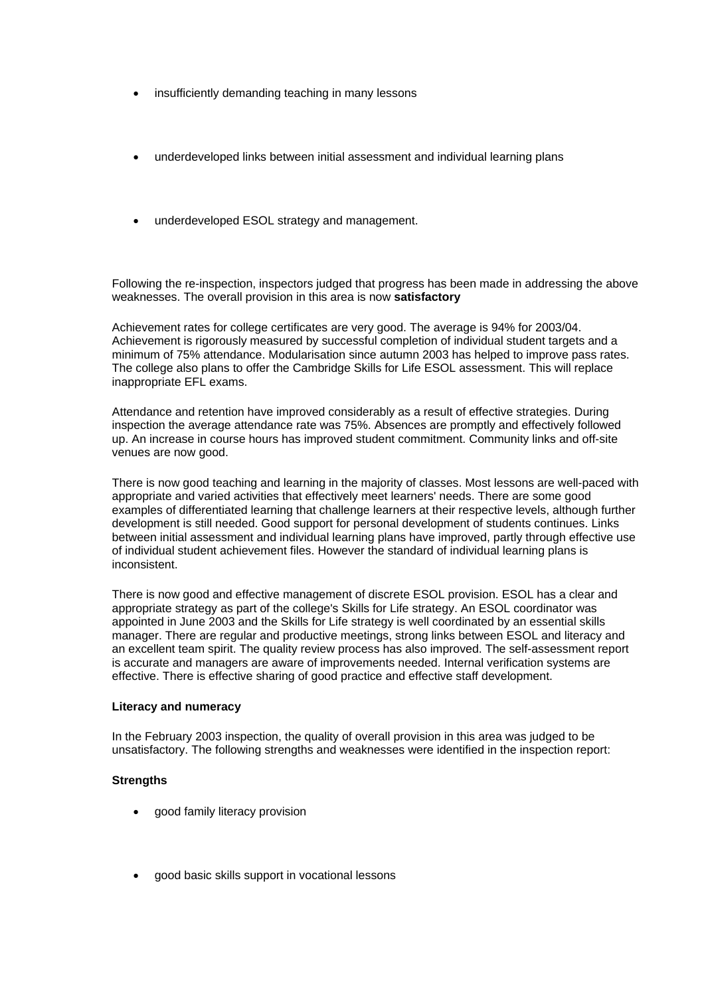- insufficiently demanding teaching in many lessons
- underdeveloped links between initial assessment and individual learning plans
- underdeveloped ESOL strategy and management.

Following the re-inspection, inspectors judged that progress has been made in addressing the above weaknesses. The overall provision in this area is now **satisfactory**

Achievement rates for college certificates are very good. The average is 94% for 2003/04. Achievement is rigorously measured by successful completion of individual student targets and a minimum of 75% attendance. Modularisation since autumn 2003 has helped to improve pass rates. The college also plans to offer the Cambridge Skills for Life ESOL assessment. This will replace inappropriate EFL exams.

Attendance and retention have improved considerably as a result of effective strategies. During inspection the average attendance rate was 75%. Absences are promptly and effectively followed up. An increase in course hours has improved student commitment. Community links and off-site venues are now good.

There is now good teaching and learning in the majority of classes. Most lessons are well-paced with appropriate and varied activities that effectively meet learners' needs. There are some good examples of differentiated learning that challenge learners at their respective levels, although further development is still needed. Good support for personal development of students continues. Links between initial assessment and individual learning plans have improved, partly through effective use of individual student achievement files. However the standard of individual learning plans is inconsistent.

There is now good and effective management of discrete ESOL provision. ESOL has a clear and appropriate strategy as part of the college's Skills for Life strategy. An ESOL coordinator was appointed in June 2003 and the Skills for Life strategy is well coordinated by an essential skills manager. There are regular and productive meetings, strong links between ESOL and literacy and an excellent team spirit. The quality review process has also improved. The self-assessment report is accurate and managers are aware of improvements needed. Internal verification systems are effective. There is effective sharing of good practice and effective staff development.

#### **Literacy and numeracy**

In the February 2003 inspection, the quality of overall provision in this area was judged to be unsatisfactory. The following strengths and weaknesses were identified in the inspection report:

## **Strengths**

- good family literacy provision
- good basic skills support in vocational lessons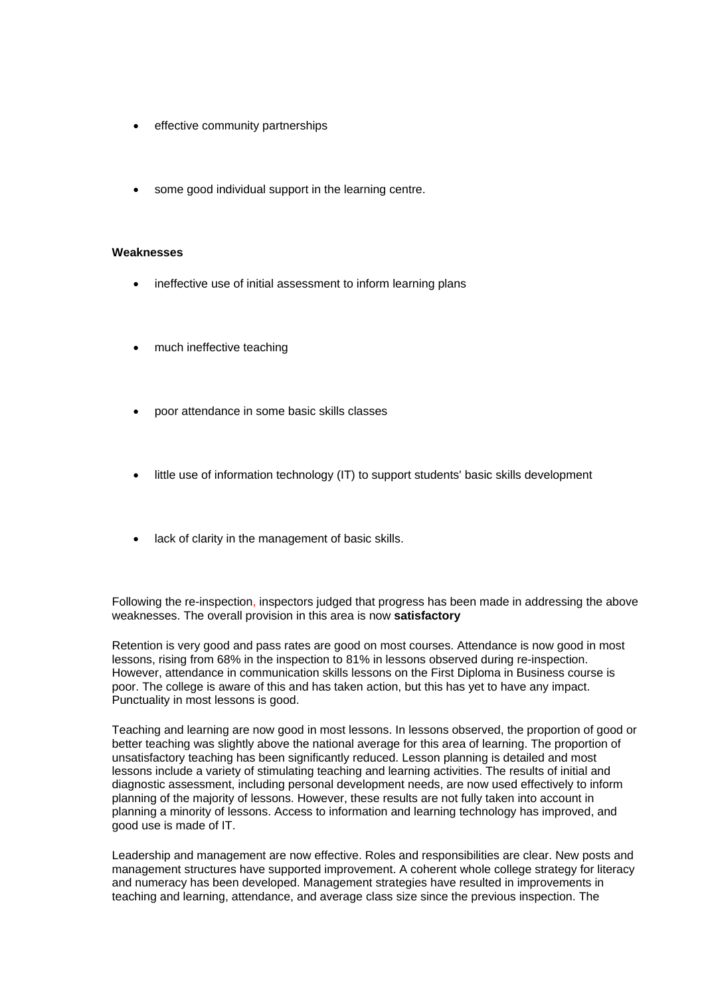- effective community partnerships
- some good individual support in the learning centre.

#### **Weaknesses**

- ineffective use of initial assessment to inform learning plans
- much ineffective teaching
- poor attendance in some basic skills classes
- little use of information technology (IT) to support students' basic skills development
- lack of clarity in the management of basic skills.

Following the re-inspection, inspectors judged that progress has been made in addressing the above weaknesses. The overall provision in this area is now **satisfactory**

Retention is very good and pass rates are good on most courses. Attendance is now good in most lessons, rising from 68% in the inspection to 81% in lessons observed during re-inspection. However, attendance in communication skills lessons on the First Diploma in Business course is poor. The college is aware of this and has taken action, but this has yet to have any impact. Punctuality in most lessons is good.

Teaching and learning are now good in most lessons. In lessons observed, the proportion of good or better teaching was slightly above the national average for this area of learning. The proportion of unsatisfactory teaching has been significantly reduced. Lesson planning is detailed and most lessons include a variety of stimulating teaching and learning activities. The results of initial and diagnostic assessment, including personal development needs, are now used effectively to inform planning of the majority of lessons. However, these results are not fully taken into account in planning a minority of lessons. Access to information and learning technology has improved, and good use is made of IT.

Leadership and management are now effective. Roles and responsibilities are clear. New posts and management structures have supported improvement. A coherent whole college strategy for literacy and numeracy has been developed. Management strategies have resulted in improvements in teaching and learning, attendance, and average class size since the previous inspection. The